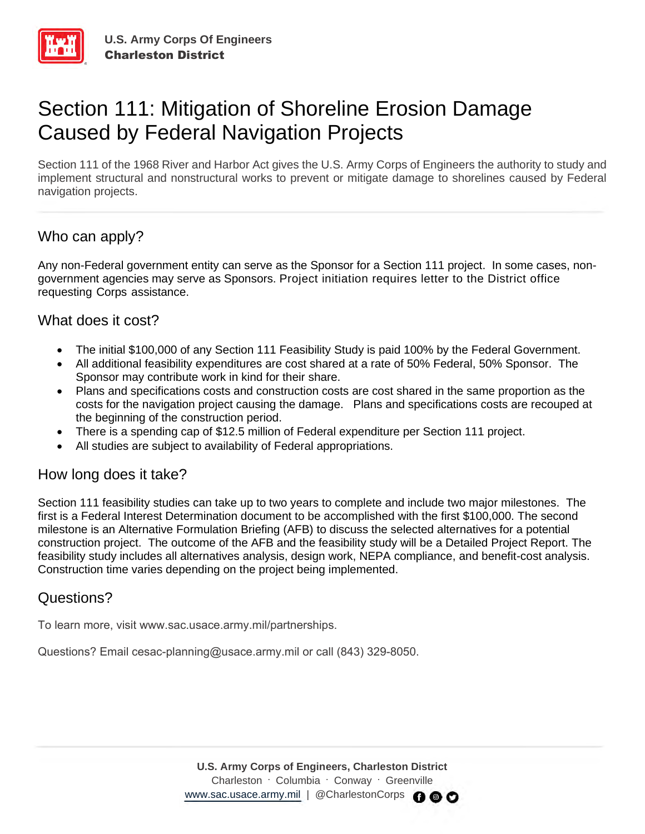

# Section 111: Mitigation of Shoreline Erosion Damage Caused by Federal Navigation Projects

Section 111 of the 1968 River and Harbor Act gives the U.S. Army Corps of Engineers the authority to study and implement structural and nonstructural works to prevent or mitigate damage to shorelines caused by Federal navigation projects.

# Who can apply?

Any non-Federal government entity can serve as the Sponsor for a Section 111 project. In some cases, nongovernment agencies may serve as Sponsors. Project initiation requires letter to the District office requesting Corps assistance.

#### What does it cost?

- The initial \$100,000 of any Section 111 Feasibility Study is paid 100% by the Federal Government.
- All additional feasibility expenditures are cost shared at a rate of 50% Federal, 50% Sponsor. The Sponsor may contribute work in kind for their share.
- Plans and specifications costs and construction costs are cost shared in the same proportion as the costs for the navigation project causing the damage. Plans and specifications costs are recouped at the beginning of the construction period.
- There is a spending cap of \$12.5 million of Federal expenditure per Section 111 project.
- All studies are subject to availability of Federal appropriations.

## How long does it take?

Section 111 feasibility studies can take up to two years to complete and include two major milestones. The first is a Federal Interest Determination document to be accomplished with the first \$100,000. The second milestone is an Alternative Formulation Briefing (AFB) to discuss the selected alternatives for a potential construction project. The outcome of the AFB and the feasibility study will be a Detailed Project Report. The feasibility study includes all alternatives analysis, design work, NEPA compliance, and benefit-cost analysis. Construction time varies depending on the project being implemented.

## Questions?

To learn more, visit www.sac.usace.army.mil/partnerships.

Questions? Email cesac-planning@usace.army.mil or call (843) 329-8050.